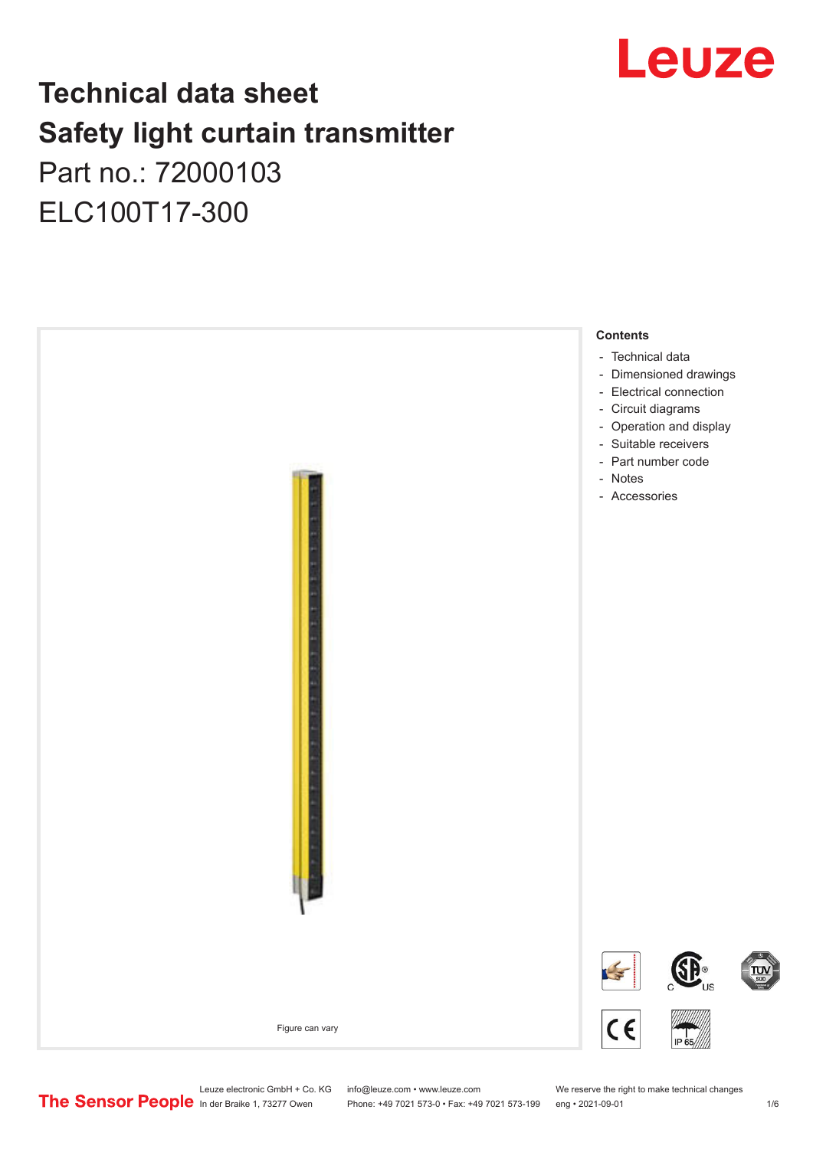

## **Technical data sheet Safety light curtain transmitter** Part no.: 72000103 ELC100T17-300



Leuze electronic GmbH + Co. KG info@leuze.com • www.leuze.com We reserve the right to make technical changes<br> **The Sensor People** in der Braike 1, 73277 Owen Phone: +49 7021 573-0 • Fax: +49 7021 573-199 eng • 2021-09-01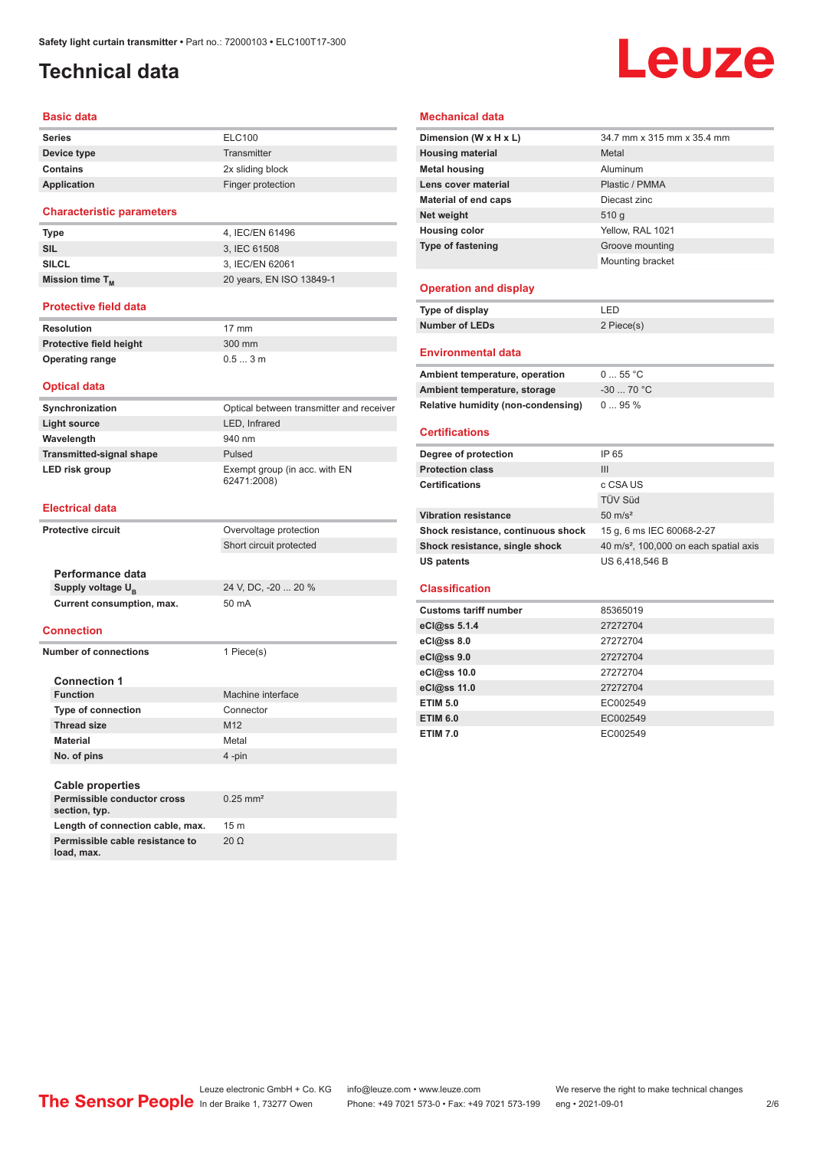## <span id="page-1-0"></span>**Technical data**

### **Basic data**

| <b>Series</b> | <b>ELC100</b>     |
|---------------|-------------------|
| Device type   | Transmitter       |
| Contains      | 2x sliding block  |
| Application   | Finger protection |

### **Characteristic parameters**

| 20 years, EN ISO 13849-1 |
|--------------------------|

### **Protective field data**

| Resolution              | $17 \text{ mm}$ |
|-------------------------|-----------------|
| Protective field height | 300 mm          |
| <b>Operating range</b>  | 0.53m           |

### **Optical data**

| Synchronization                 | Optical between transmitter and receiver     |
|---------------------------------|----------------------------------------------|
| Light source                    | LED, Infrared                                |
| Wavelength                      | 940 nm                                       |
| <b>Transmitted-signal shape</b> | Pulsed                                       |
| LED risk group                  | Exempt group (in acc. with EN<br>62471:2008) |

### **Electrical data**

**load, max.**

|  | <b>Protective circuit</b>                    | Overvoltage protection  |
|--|----------------------------------------------|-------------------------|
|  |                                              | Short circuit protected |
|  |                                              |                         |
|  | Performance data                             |                         |
|  | Supply voltage U <sub>B</sub>                | 24 V, DC, -20  20 %     |
|  | Current consumption, max.                    | 50 mA                   |
|  | <b>Connection</b>                            |                         |
|  |                                              |                         |
|  | Number of connections                        | 1 Piece(s)              |
|  |                                              |                         |
|  | <b>Connection 1</b>                          |                         |
|  | <b>Function</b>                              | Machine interface       |
|  | <b>Type of connection</b>                    | Connector               |
|  | <b>Thread size</b>                           | M <sub>12</sub>         |
|  | <b>Material</b>                              | Metal                   |
|  | No. of pins                                  | 4-pin                   |
|  |                                              |                         |
|  | <b>Cable properties</b>                      |                         |
|  | Permissible conductor cross<br>section, typ. | $0.25$ mm <sup>2</sup>  |
|  | Length of connection cable, max.             | 15 <sub>m</sub>         |
|  | Permissible cable resistance to              | $20 \Omega$             |

### **Mechanical data**

| Dimension (W x H x L)              | 34.7 mm x 315 mm x 35.4 mm                         |
|------------------------------------|----------------------------------------------------|
| <b>Housing material</b>            | Metal                                              |
| <b>Metal housing</b>               | Aluminum                                           |
| Lens cover material                | Plastic / PMMA                                     |
| <b>Material of end caps</b>        | Diecast zinc                                       |
| Net weight                         | 510 g                                              |
| <b>Housing color</b>               | Yellow, RAL 1021                                   |
| <b>Type of fastening</b>           | Groove mounting                                    |
|                                    | Mounting bracket                                   |
| <b>Operation and display</b>       |                                                    |
| Type of display                    | LED                                                |
| <b>Number of LEDs</b>              | 2 Piece(s)                                         |
| <b>Environmental data</b>          |                                                    |
| Ambient temperature, operation     | 055 °C                                             |
| Ambient temperature, storage       | $-30$ 70 °C                                        |
| Relative humidity (non-condensing) | 095%                                               |
|                                    |                                                    |
| <b>Certifications</b>              |                                                    |
| Degree of protection               | IP 65                                              |
| <b>Protection class</b>            | Ш                                                  |
| <b>Certifications</b>              | c CSA US                                           |
|                                    | TÜV Süd                                            |
| <b>Vibration resistance</b>        | $50 \text{ m/s}^2$                                 |
| Shock resistance, continuous shock | 15 g, 6 ms IEC 60068-2-27                          |
| Shock resistance, single shock     | 40 m/s <sup>2</sup> , 100,000 on each spatial axis |
| <b>US patents</b>                  | US 6,418,546 B                                     |
| <b>Classification</b>              |                                                    |
| <b>Customs tariff number</b>       | 85365019                                           |
| eCl@ss 5.1.4                       | 27272704                                           |
| eCl@ss 8.0                         | 27272704                                           |
| eCl@ss 9.0                         | 27272704                                           |
| eCl@ss 10.0                        | 27272704                                           |
| eCl@ss 11.0                        | 27272704                                           |
| <b>ETIM 5.0</b>                    | EC002549                                           |
| <b>ETIM 6.0</b>                    | EC002549                                           |

Leuze

Leuze electronic GmbH + Co. KG info@leuze.com • www.leuze.com We reserve the right to make technical changes ln der Braike 1, 73277 Owen Phone: +49 7021 573-0 • Fax: +49 7021 573-199 eng • 2021-09-01 2/6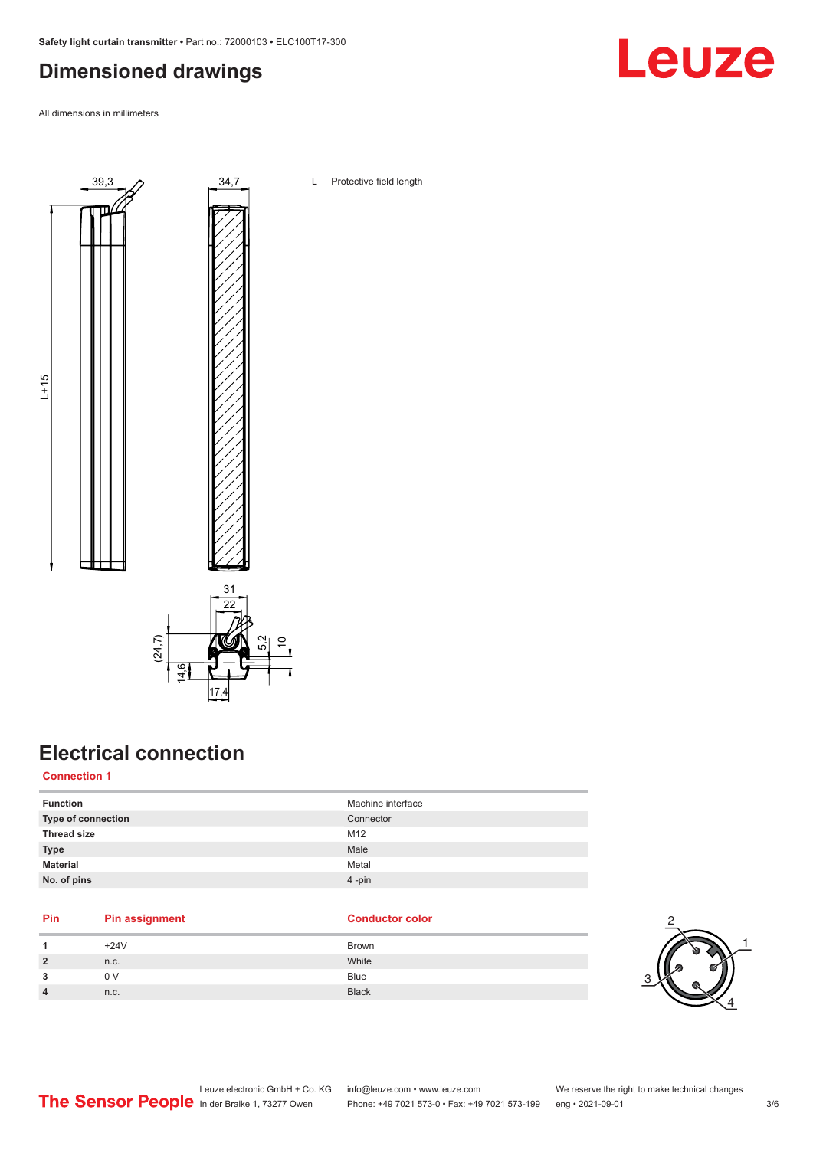## <span id="page-2-0"></span>**Dimensioned drawings**

All dimensions in millimeters



## **Electrical connection**

17.4

**Connection 1**

| <b>Function</b>    | Machine interface |
|--------------------|-------------------|
| Type of connection | Connector         |
| <b>Thread size</b> | M12               |
| <b>Type</b>        | Male              |
| <b>Material</b>    | Metal             |
| No. of pins        | $4 - pin$         |

### **Pin Pin assignment Conductor Conductor Color**

|            | $+24V$ | <b>Brown</b> |
|------------|--------|--------------|
|            | n.c.   | White        |
| ×.         | 0 V    | <b>Blue</b>  |
| $\sqrt{2}$ | n.c.   | <b>Black</b> |



## Leuze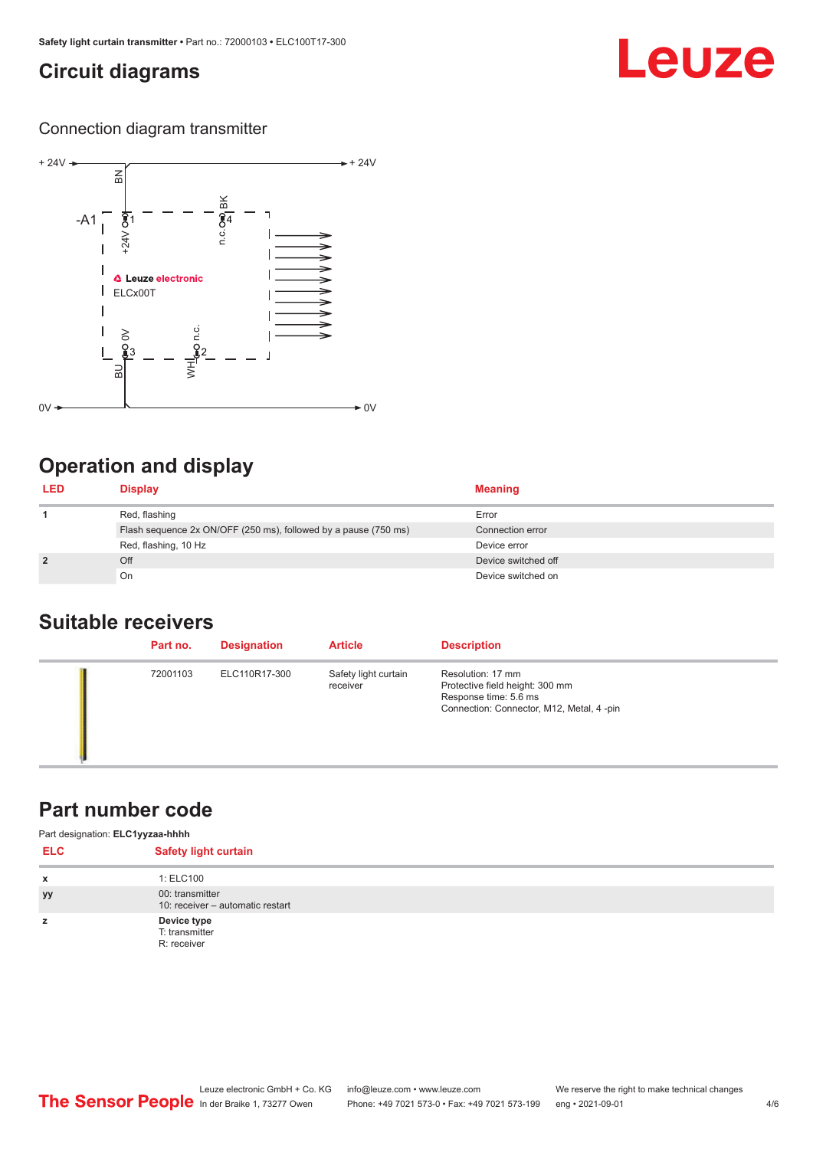### <span id="page-3-0"></span>**Circuit diagrams**

# Leuze

### Connection diagram transmitter



### **Operation and display**

| <b>LED</b>     | <b>Display</b>                                                  | <b>Meaning</b>      |
|----------------|-----------------------------------------------------------------|---------------------|
|                | Red, flashing                                                   | Error               |
|                | Flash sequence 2x ON/OFF (250 ms), followed by a pause (750 ms) | Connection error    |
|                | Red, flashing, 10 Hz                                            | Device error        |
| $\overline{2}$ | Off                                                             | Device switched off |
|                | On                                                              | Device switched on  |

### **Suitable receivers**

| Part no. | <b>Designation</b> | <b>Article</b>                   | <b>Description</b>                                                                                                        |
|----------|--------------------|----------------------------------|---------------------------------------------------------------------------------------------------------------------------|
| 72001103 | ELC110R17-300      | Safety light curtain<br>receiver | Resolution: 17 mm<br>Protective field height: 300 mm<br>Response time: 5.6 ms<br>Connection: Connector, M12, Metal, 4-pin |

### **Part number code**

| Part designation: ELC1yyzaa-hhhh |                                                     |  |  |
|----------------------------------|-----------------------------------------------------|--|--|
| <b>ELC</b>                       | <b>Safety light curtain</b>                         |  |  |
| x                                | 1: ELC100                                           |  |  |
| yy                               | 00: transmitter<br>10: receiver - automatic restart |  |  |
| z                                | Device type<br>T: transmitter<br>R: receiver        |  |  |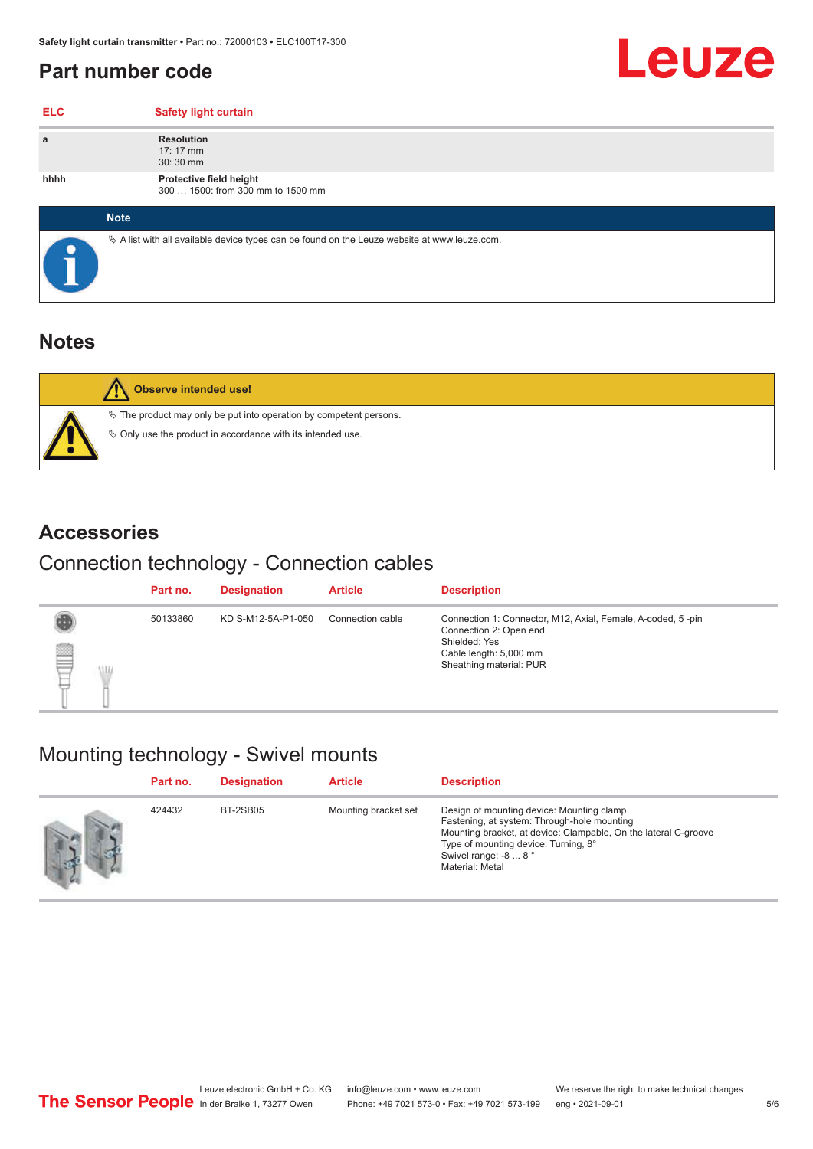### <span id="page-4-0"></span>**Part number code**

| <b>ELC</b> | <b>Safety light curtain</b>                                                                     |
|------------|-------------------------------------------------------------------------------------------------|
| a          | <b>Resolution</b><br>$17:17 \, \text{mm}$<br>$30:30$ mm                                         |
| hhhh       | Protective field height<br>300  1500: from 300 mm to 1500 mm                                    |
|            | <b>Note</b>                                                                                     |
|            | $\&$ A list with all available device types can be found on the Leuze website at www.leuze.com. |

### **Notes**

| Observe intended use!                                                                                                                     |
|-------------------------------------------------------------------------------------------------------------------------------------------|
| $\&$ The product may only be put into operation by competent persons.<br>$\phi$ Only use the product in accordance with its intended use. |

### **Accessories**

## Connection technology - Connection cables

|        |            | Part no. | <b>Designation</b> | <b>Article</b>   | <b>Description</b>                                                                                                                                          |
|--------|------------|----------|--------------------|------------------|-------------------------------------------------------------------------------------------------------------------------------------------------------------|
| $\Box$ | <b>ALL</b> | 50133860 | KD S-M12-5A-P1-050 | Connection cable | Connection 1: Connector, M12, Axial, Female, A-coded, 5-pin<br>Connection 2: Open end<br>Shielded: Yes<br>Cable length: 5,000 mm<br>Sheathing material: PUR |

## Mounting technology - Swivel mounts

| Part no. | <b>Designation</b> | <b>Article</b>       | <b>Description</b>                                                                                                                                                                                                                              |
|----------|--------------------|----------------------|-------------------------------------------------------------------------------------------------------------------------------------------------------------------------------------------------------------------------------------------------|
| 424432   | <b>BT-2SB05</b>    | Mounting bracket set | Design of mounting device: Mounting clamp<br>Fastening, at system: Through-hole mounting<br>Mounting bracket, at device: Clampable, On the lateral C-groove<br>Type of mounting device: Turning, 8°<br>Swivel range: -8  8 °<br>Material: Metal |

Leuze